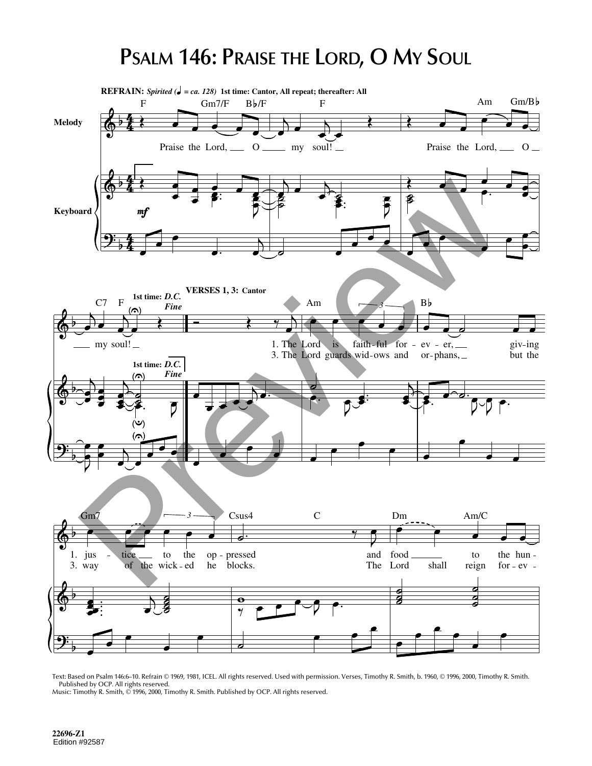## **PSALM 146: PRAISE THE LORD, O MY SOUL**



Text: Based on Psalm 146:6–10. Refrain © 1969, 1981, ICEL. All rights reserved. Used with permission. Verses, Timothy R. Smith, b. 1960, © 1996, 2000, Timothy R. Smith. Published by OCP. All rights reserved. Music: Timothy R. Smith, © 1996, 2000, Timothy R. Smith. Published by OCP. All rights reserved.